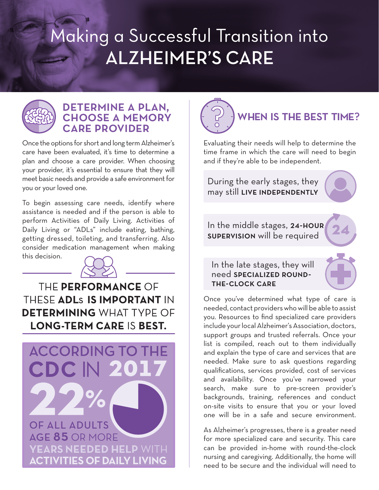## Making a Successful Transition into **ALZHEIMER'S CARE**



## determine a plan, choose a memory care provider

Once the options for short and long term Alzheimer's care have been evaluated, it's time to determine a plan and choose a care provider. When choosing your provider, it's essential to ensure that they will meet basic needs and provide a safe environment for you or your loved one.

To begin assessing care needs, identify where assistance is needed and if the person is able to perform Activities of Daily Living. Activities of Daily Living or "ADLs" include eating, bathing, getting dressed, toileting, and transferring. Also consider medication management when making this decision.



THE PERFORMANCE OF THESE ADLS IS IMPORTANT IN **DETERMINING WHAT TYPE OF LONG-TERM CARE IS BEST.** 





Evaluating their needs will help to determine the time frame in which the care will need to begin and if they're able to be independent.

During the early stages, they may still live independently

In the middle stages, 24-HOUR supervision will be required

In the late stages, they will need specialized roundthe-clock care

Once you've determined what type of care is needed, contact providers who will be able to assist you. Resources to find specialized care providers include your local Alzheimer's Association, doctors, support groups and trusted referrals. Once your list is compiled, reach out to them individually and explain the type of care and services that are needed. Make sure to ask questions regarding qualifications, services provided, cost of services and availability. Once you've narrowed your search, make sure to pre-screen provider's backgrounds, training, references and conduct on-site visits to ensure that you or your loved one will be in a safe and secure environment.

As Alzheimer's progresses, there is a greater need for more specialized care and security. This care can be provided in-home with round-the-clock nursing and caregiving. Additionally, the home will need to be secure and the individual will need to